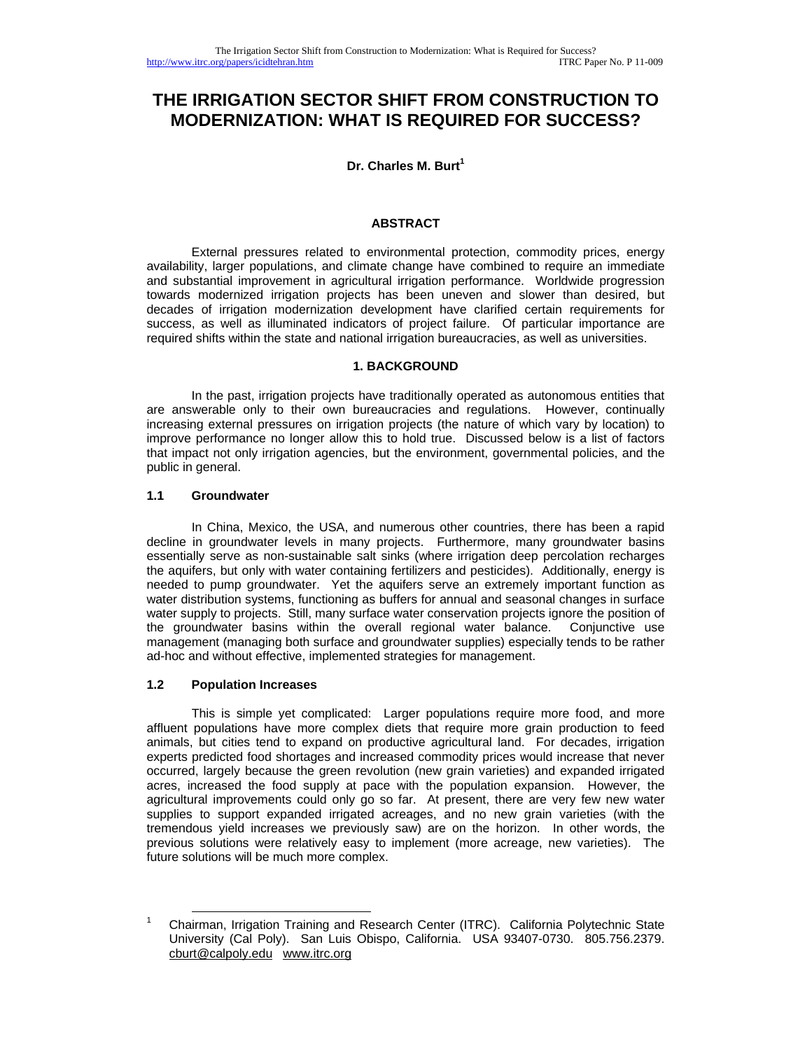# **THE IRRIGATION SECTOR SHIFT FROM CONSTRUCTION TO MODERNIZATION: WHAT IS REQUIRED FOR SUCCESS?**

**Dr. Charles M. Burt<sup>1</sup>**

#### **ABSTRACT**

External pressures related to environmental protection, commodity prices, energy availability, larger populations, and climate change have combined to require an immediate and substantial improvement in agricultural irrigation performance. Worldwide progression towards modernized irrigation projects has been uneven and slower than desired, but decades of irrigation modernization development have clarified certain requirements for success, as well as illuminated indicators of project failure. Of particular importance are required shifts within the state and national irrigation bureaucracies, as well as universities.

#### **1. BACKGROUND**

In the past, irrigation projects have traditionally operated as autonomous entities that are answerable only to their own bureaucracies and regulations. However, continually increasing external pressures on irrigation projects (the nature of which vary by location) to improve performance no longer allow this to hold true. Discussed below is a list of factors that impact not only irrigation agencies, but the environment, governmental policies, and the public in general.

## **1.1 Groundwater**

In China, Mexico, the USA, and numerous other countries, there has been a rapid decline in groundwater levels in many projects. Furthermore, many groundwater basins essentially serve as non-sustainable salt sinks (where irrigation deep percolation recharges the aquifers, but only with water containing fertilizers and pesticides). Additionally, energy is needed to pump groundwater. Yet the aquifers serve an extremely important function as water distribution systems, functioning as buffers for annual and seasonal changes in surface water supply to projects. Still, many surface water conservation projects ignore the position of the groundwater basins within the overall regional water balance. Conjunctive use management (managing both surface and groundwater supplies) especially tends to be rather ad-hoc and without effective, implemented strategies for management.

# **1.2 Population Increases**

This is simple yet complicated: Larger populations require more food, and more affluent populations have more complex diets that require more grain production to feed animals, but cities tend to expand on productive agricultural land. For decades, irrigation experts predicted food shortages and increased commodity prices would increase that never occurred, largely because the green revolution (new grain varieties) and expanded irrigated acres, increased the food supply at pace with the population expansion. However, the agricultural improvements could only go so far. At present, there are very few new water supplies to support expanded irrigated acreages, and no new grain varieties (with the tremendous yield increases we previously saw) are on the horizon. In other words, the previous solutions were relatively easy to implement (more acreage, new varieties). The future solutions will be much more complex.

<sup>1</sup> Chairman, Irrigation Training and Research Center (ITRC). California Polytechnic State University (Cal Poly). San Luis Obispo, California. USA 93407-0730. 805.756.2379. cburt@calpoly.edu www.itrc.org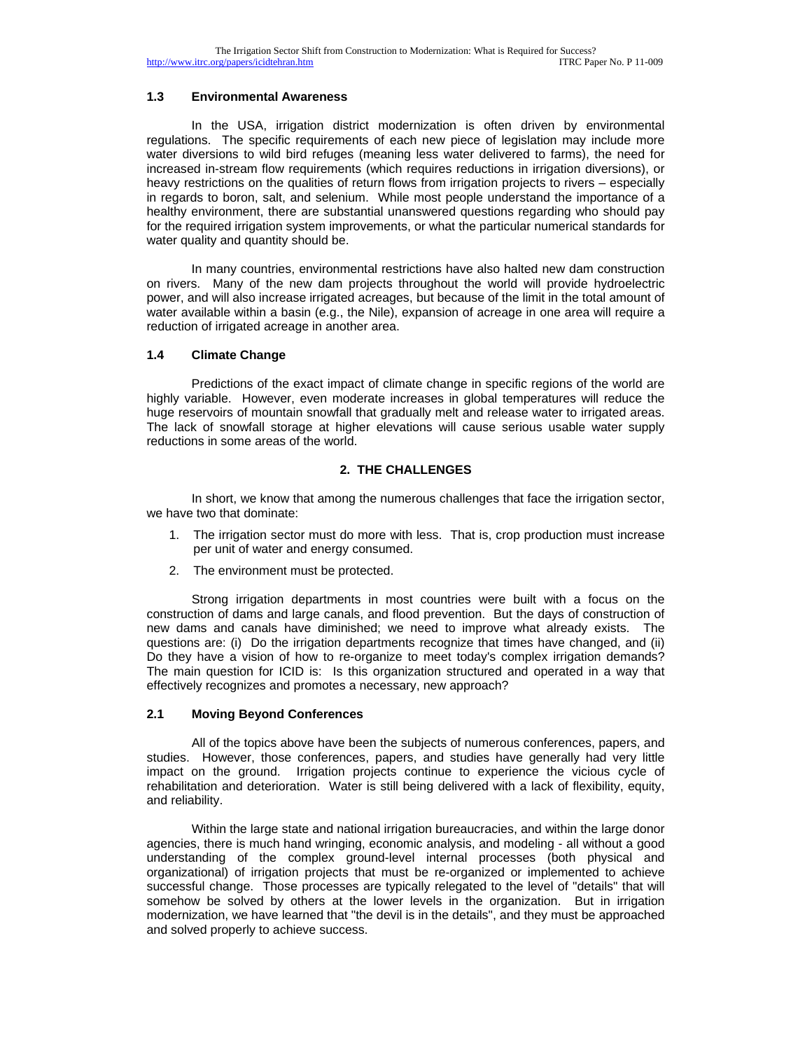## **1.3 Environmental Awareness**

In the USA, irrigation district modernization is often driven by environmental regulations. The specific requirements of each new piece of legislation may include more water diversions to wild bird refuges (meaning less water delivered to farms), the need for increased in-stream flow requirements (which requires reductions in irrigation diversions), or heavy restrictions on the qualities of return flows from irrigation projects to rivers – especially in regards to boron, salt, and selenium. While most people understand the importance of a healthy environment, there are substantial unanswered questions regarding who should pay for the required irrigation system improvements, or what the particular numerical standards for water quality and quantity should be.

In many countries, environmental restrictions have also halted new dam construction on rivers. Many of the new dam projects throughout the world will provide hydroelectric power, and will also increase irrigated acreages, but because of the limit in the total amount of water available within a basin (e.g., the Nile), expansion of acreage in one area will require a reduction of irrigated acreage in another area.

## **1.4 Climate Change**

Predictions of the exact impact of climate change in specific regions of the world are highly variable. However, even moderate increases in global temperatures will reduce the huge reservoirs of mountain snowfall that gradually melt and release water to irrigated areas. The lack of snowfall storage at higher elevations will cause serious usable water supply reductions in some areas of the world.

## **2. THE CHALLENGES**

In short, we know that among the numerous challenges that face the irrigation sector, we have two that dominate:

- 1. The irrigation sector must do more with less. That is, crop production must increase per unit of water and energy consumed.
- 2. The environment must be protected.

Strong irrigation departments in most countries were built with a focus on the construction of dams and large canals, and flood prevention. But the days of construction of new dams and canals have diminished; we need to improve what already exists. The questions are: (i) Do the irrigation departments recognize that times have changed, and (ii) Do they have a vision of how to re-organize to meet today's complex irrigation demands? The main question for ICID is: Is this organization structured and operated in a way that effectively recognizes and promotes a necessary, new approach?

#### **2.1 Moving Beyond Conferences**

All of the topics above have been the subjects of numerous conferences, papers, and studies. However, those conferences, papers, and studies have generally had very little impact on the ground. Irrigation projects continue to experience the vicious cycle of rehabilitation and deterioration. Water is still being delivered with a lack of flexibility, equity, and reliability.

Within the large state and national irrigation bureaucracies, and within the large donor agencies, there is much hand wringing, economic analysis, and modeling - all without a good understanding of the complex ground-level internal processes (both physical and organizational) of irrigation projects that must be re-organized or implemented to achieve successful change. Those processes are typically relegated to the level of "details" that will somehow be solved by others at the lower levels in the organization. But in irrigation modernization, we have learned that "the devil is in the details", and they must be approached and solved properly to achieve success.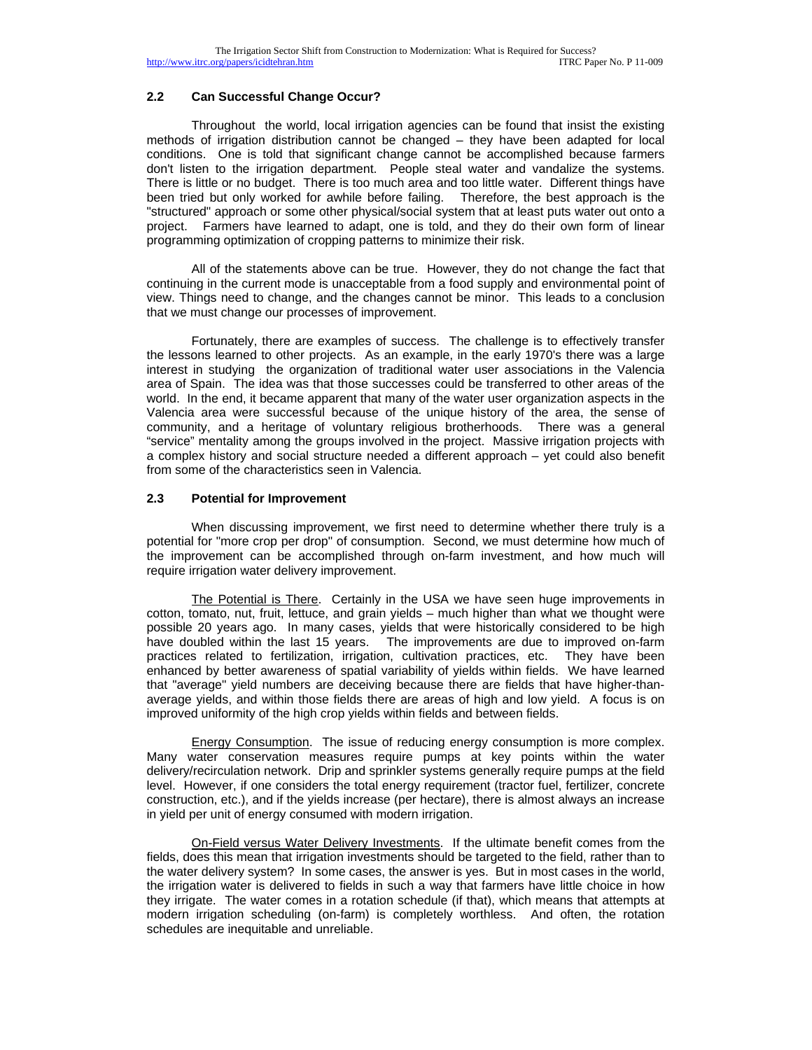## **2.2 Can Successful Change Occur?**

Throughout the world, local irrigation agencies can be found that insist the existing methods of irrigation distribution cannot be changed – they have been adapted for local conditions. One is told that significant change cannot be accomplished because farmers don't listen to the irrigation department. People steal water and vandalize the systems. There is little or no budget. There is too much area and too little water. Different things have been tried but only worked for awhile before failing. Therefore, the best approach is the "structured" approach or some other physical/social system that at least puts water out onto a project. Farmers have learned to adapt, one is told, and they do their own form of linear programming optimization of cropping patterns to minimize their risk.

All of the statements above can be true. However, they do not change the fact that continuing in the current mode is unacceptable from a food supply and environmental point of view. Things need to change, and the changes cannot be minor. This leads to a conclusion that we must change our processes of improvement.

Fortunately, there are examples of success. The challenge is to effectively transfer the lessons learned to other projects. As an example, in the early 1970's there was a large interest in studying the organization of traditional water user associations in the Valencia area of Spain. The idea was that those successes could be transferred to other areas of the world. In the end, it became apparent that many of the water user organization aspects in the Valencia area were successful because of the unique history of the area, the sense of community, and a heritage of voluntary religious brotherhoods. There was a general "service" mentality among the groups involved in the project. Massive irrigation projects with a complex history and social structure needed a different approach – yet could also benefit from some of the characteristics seen in Valencia.

#### **2.3 Potential for Improvement**

When discussing improvement, we first need to determine whether there truly is a potential for "more crop per drop" of consumption. Second, we must determine how much of the improvement can be accomplished through on-farm investment, and how much will require irrigation water delivery improvement.

The Potential is There. Certainly in the USA we have seen huge improvements in cotton, tomato, nut, fruit, lettuce, and grain yields – much higher than what we thought were possible 20 years ago. In many cases, yields that were historically considered to be high have doubled within the last 15 years. The improvements are due to improved on-farm practices related to fertilization, irrigation, cultivation practices, etc. They have been enhanced by better awareness of spatial variability of yields within fields. We have learned that "average" yield numbers are deceiving because there are fields that have higher-thanaverage yields, and within those fields there are areas of high and low yield. A focus is on improved uniformity of the high crop yields within fields and between fields.

Energy Consumption. The issue of reducing energy consumption is more complex. Many water conservation measures require pumps at key points within the water delivery/recirculation network. Drip and sprinkler systems generally require pumps at the field level. However, if one considers the total energy requirement (tractor fuel, fertilizer, concrete construction, etc.), and if the yields increase (per hectare), there is almost always an increase in yield per unit of energy consumed with modern irrigation.

On-Field versus Water Delivery Investments. If the ultimate benefit comes from the fields, does this mean that irrigation investments should be targeted to the field, rather than to the water delivery system? In some cases, the answer is yes. But in most cases in the world, the irrigation water is delivered to fields in such a way that farmers have little choice in how they irrigate. The water comes in a rotation schedule (if that), which means that attempts at modern irrigation scheduling (on-farm) is completely worthless. And often, the rotation schedules are inequitable and unreliable.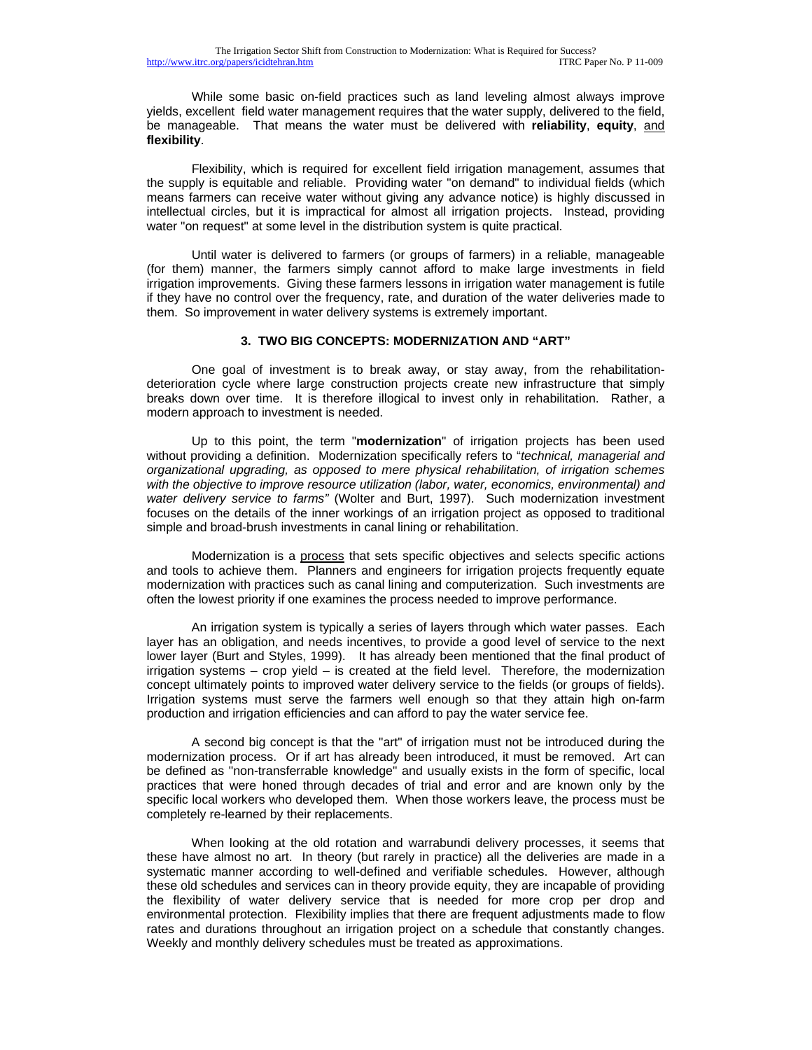While some basic on-field practices such as land leveling almost always improve yields, excellent field water management requires that the water supply, delivered to the field, be manageable. That means the water must be delivered with **reliability**, **equity**, and **flexibility**.

Flexibility, which is required for excellent field irrigation management, assumes that the supply is equitable and reliable. Providing water "on demand" to individual fields (which means farmers can receive water without giving any advance notice) is highly discussed in intellectual circles, but it is impractical for almost all irrigation projects. Instead, providing water "on request" at some level in the distribution system is quite practical.

Until water is delivered to farmers (or groups of farmers) in a reliable, manageable (for them) manner, the farmers simply cannot afford to make large investments in field irrigation improvements. Giving these farmers lessons in irrigation water management is futile if they have no control over the frequency, rate, and duration of the water deliveries made to them. So improvement in water delivery systems is extremely important.

#### **3. TWO BIG CONCEPTS: MODERNIZATION AND "ART"**

One goal of investment is to break away, or stay away, from the rehabilitationdeterioration cycle where large construction projects create new infrastructure that simply breaks down over time. It is therefore illogical to invest only in rehabilitation. Rather, a modern approach to investment is needed.

Up to this point, the term "**modernization**" of irrigation projects has been used without providing a definition. Modernization specifically refers to "*technical, managerial and organizational upgrading, as opposed to mere physical rehabilitation, of irrigation schemes with the objective to improve resource utilization (labor, water, economics, environmental) and water delivery service to farms"* (Wolter and Burt, 1997). Such modernization investment focuses on the details of the inner workings of an irrigation project as opposed to traditional simple and broad-brush investments in canal lining or rehabilitation.

Modernization is a process that sets specific objectives and selects specific actions and tools to achieve them. Planners and engineers for irrigation projects frequently equate modernization with practices such as canal lining and computerization. Such investments are often the lowest priority if one examines the process needed to improve performance.

An irrigation system is typically a series of layers through which water passes. Each layer has an obligation, and needs incentives, to provide a good level of service to the next lower layer (Burt and Styles, 1999). It has already been mentioned that the final product of irrigation systems – crop yield – is created at the field level. Therefore, the modernization concept ultimately points to improved water delivery service to the fields (or groups of fields). Irrigation systems must serve the farmers well enough so that they attain high on-farm production and irrigation efficiencies and can afford to pay the water service fee.

A second big concept is that the "art" of irrigation must not be introduced during the modernization process. Or if art has already been introduced, it must be removed. Art can be defined as "non-transferrable knowledge" and usually exists in the form of specific, local practices that were honed through decades of trial and error and are known only by the specific local workers who developed them. When those workers leave, the process must be completely re-learned by their replacements.

When looking at the old rotation and warrabundi delivery processes, it seems that these have almost no art. In theory (but rarely in practice) all the deliveries are made in a systematic manner according to well-defined and verifiable schedules. However, although these old schedules and services can in theory provide equity, they are incapable of providing the flexibility of water delivery service that is needed for more crop per drop and environmental protection. Flexibility implies that there are frequent adjustments made to flow rates and durations throughout an irrigation project on a schedule that constantly changes. Weekly and monthly delivery schedules must be treated as approximations.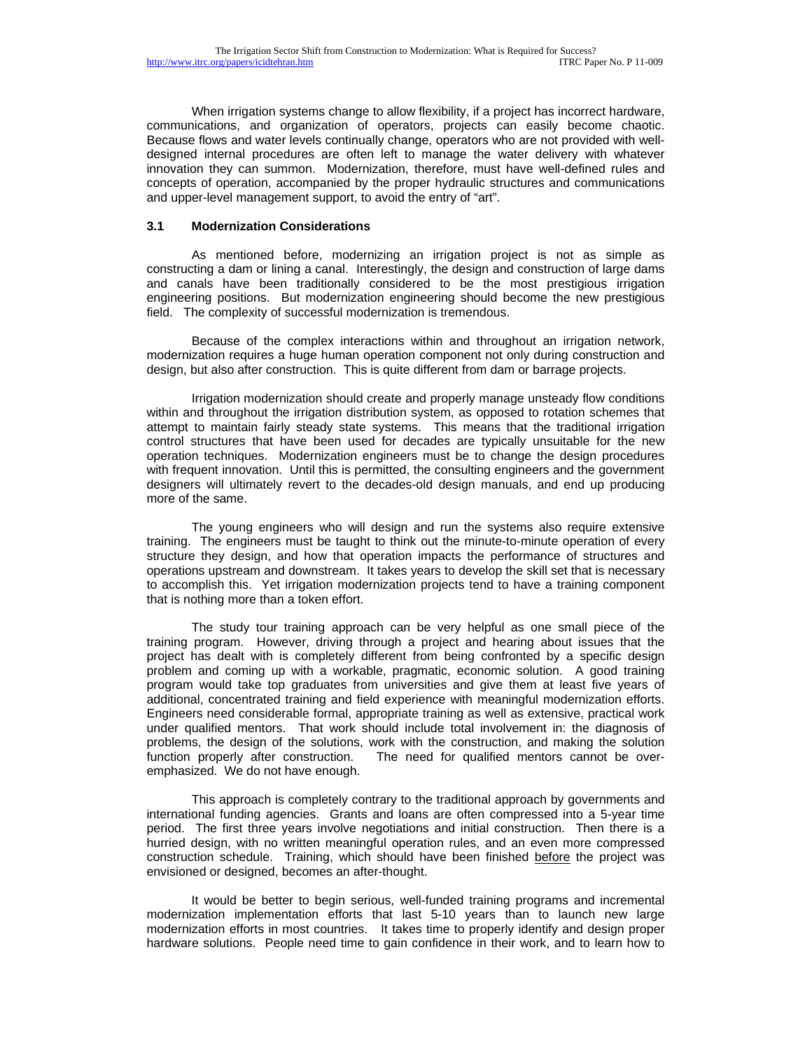When irrigation systems change to allow flexibility, if a project has incorrect hardware, communications, and organization of operators, projects can easily become chaotic. Because flows and water levels continually change, operators who are not provided with welldesigned internal procedures are often left to manage the water delivery with whatever innovation they can summon. Modernization, therefore, must have well-defined rules and concepts of operation, accompanied by the proper hydraulic structures and communications and upper-level management support, to avoid the entry of "art".

#### **3.1 Modernization Considerations**

As mentioned before, modernizing an irrigation project is not as simple as constructing a dam or lining a canal. Interestingly, the design and construction of large dams and canals have been traditionally considered to be the most prestigious irrigation engineering positions. But modernization engineering should become the new prestigious field. The complexity of successful modernization is tremendous.

Because of the complex interactions within and throughout an irrigation network, modernization requires a huge human operation component not only during construction and design, but also after construction. This is quite different from dam or barrage projects.

Irrigation modernization should create and properly manage unsteady flow conditions within and throughout the irrigation distribution system, as opposed to rotation schemes that attempt to maintain fairly steady state systems. This means that the traditional irrigation control structures that have been used for decades are typically unsuitable for the new operation techniques. Modernization engineers must be to change the design procedures with frequent innovation. Until this is permitted, the consulting engineers and the government designers will ultimately revert to the decades-old design manuals, and end up producing more of the same.

The young engineers who will design and run the systems also require extensive training. The engineers must be taught to think out the minute-to-minute operation of every structure they design, and how that operation impacts the performance of structures and operations upstream and downstream. It takes years to develop the skill set that is necessary to accomplish this. Yet irrigation modernization projects tend to have a training component that is nothing more than a token effort.

The study tour training approach can be very helpful as one small piece of the training program. However, driving through a project and hearing about issues that the project has dealt with is completely different from being confronted by a specific design problem and coming up with a workable, pragmatic, economic solution. A good training program would take top graduates from universities and give them at least five years of additional, concentrated training and field experience with meaningful modernization efforts. Engineers need considerable formal, appropriate training as well as extensive, practical work under qualified mentors. That work should include total involvement in: the diagnosis of problems, the design of the solutions, work with the construction, and making the solution function properly after construction. The need for qualified mentors cannot be overemphasized. We do not have enough.

This approach is completely contrary to the traditional approach by governments and international funding agencies. Grants and loans are often compressed into a 5-year time period. The first three years involve negotiations and initial construction. Then there is a hurried design, with no written meaningful operation rules, and an even more compressed construction schedule. Training, which should have been finished before the project was envisioned or designed, becomes an after-thought.

It would be better to begin serious, well-funded training programs and incremental modernization implementation efforts that last 5-10 years than to launch new large modernization efforts in most countries. It takes time to properly identify and design proper hardware solutions. People need time to gain confidence in their work, and to learn how to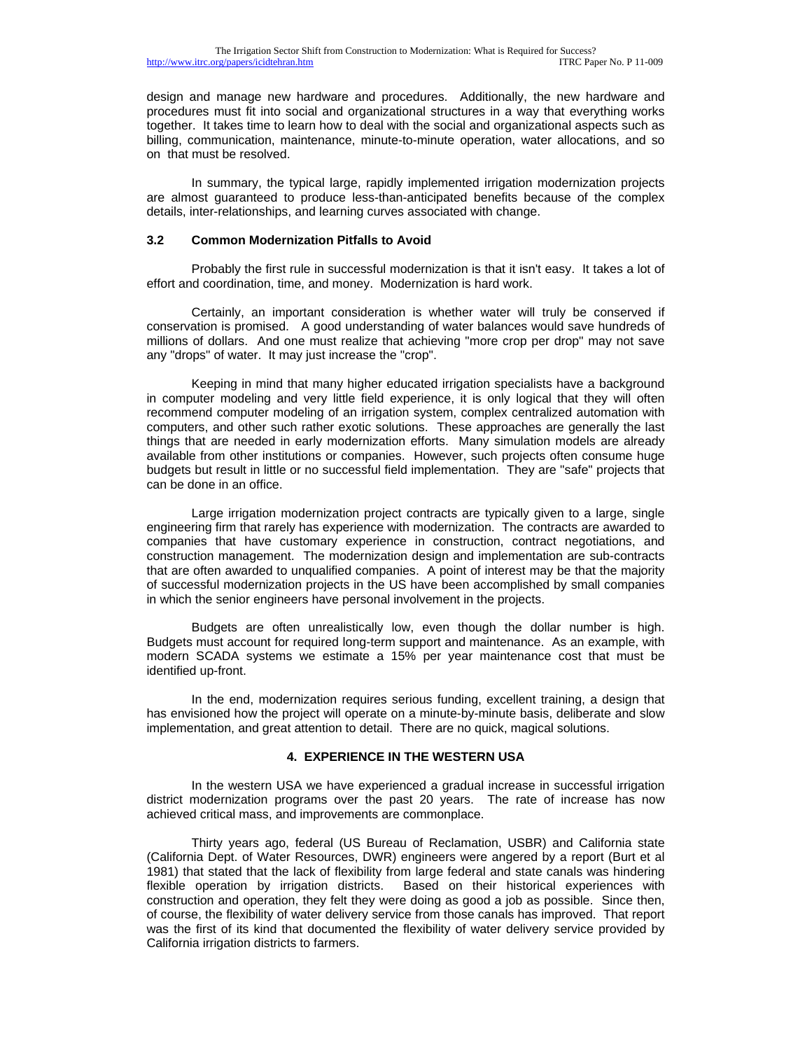design and manage new hardware and procedures. Additionally, the new hardware and procedures must fit into social and organizational structures in a way that everything works together. It takes time to learn how to deal with the social and organizational aspects such as billing, communication, maintenance, minute-to-minute operation, water allocations, and so on that must be resolved.

In summary, the typical large, rapidly implemented irrigation modernization projects are almost guaranteed to produce less-than-anticipated benefits because of the complex details, inter-relationships, and learning curves associated with change.

#### **3.2 Common Modernization Pitfalls to Avoid**

Probably the first rule in successful modernization is that it isn't easy. It takes a lot of effort and coordination, time, and money. Modernization is hard work.

Certainly, an important consideration is whether water will truly be conserved if conservation is promised. A good understanding of water balances would save hundreds of millions of dollars. And one must realize that achieving "more crop per drop" may not save any "drops" of water. It may just increase the "crop".

Keeping in mind that many higher educated irrigation specialists have a background in computer modeling and very little field experience, it is only logical that they will often recommend computer modeling of an irrigation system, complex centralized automation with computers, and other such rather exotic solutions. These approaches are generally the last things that are needed in early modernization efforts. Many simulation models are already available from other institutions or companies. However, such projects often consume huge budgets but result in little or no successful field implementation. They are "safe" projects that can be done in an office.

Large irrigation modernization project contracts are typically given to a large, single engineering firm that rarely has experience with modernization. The contracts are awarded to companies that have customary experience in construction, contract negotiations, and construction management. The modernization design and implementation are sub-contracts that are often awarded to unqualified companies. A point of interest may be that the majority of successful modernization projects in the US have been accomplished by small companies in which the senior engineers have personal involvement in the projects.

Budgets are often unrealistically low, even though the dollar number is high. Budgets must account for required long-term support and maintenance. As an example, with modern SCADA systems we estimate a 15% per year maintenance cost that must be identified up-front.

In the end, modernization requires serious funding, excellent training, a design that has envisioned how the project will operate on a minute-by-minute basis, deliberate and slow implementation, and great attention to detail. There are no quick, magical solutions.

#### **4. EXPERIENCE IN THE WESTERN USA**

In the western USA we have experienced a gradual increase in successful irrigation district modernization programs over the past 20 years. The rate of increase has now achieved critical mass, and improvements are commonplace.

Thirty years ago, federal (US Bureau of Reclamation, USBR) and California state (California Dept. of Water Resources, DWR) engineers were angered by a report (Burt et al 1981) that stated that the lack of flexibility from large federal and state canals was hindering flexible operation by irrigation districts. Based on their historical experiences with construction and operation, they felt they were doing as good a job as possible. Since then, of course, the flexibility of water delivery service from those canals has improved. That report was the first of its kind that documented the flexibility of water delivery service provided by California irrigation districts to farmers.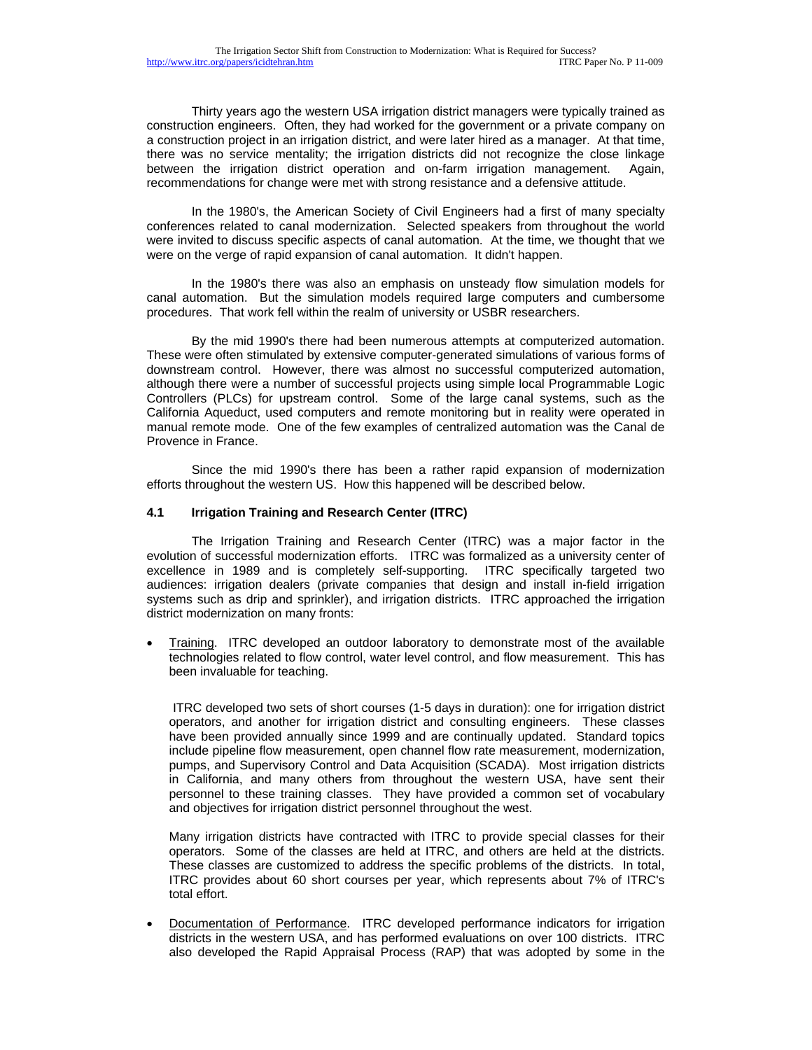Thirty years ago the western USA irrigation district managers were typically trained as construction engineers. Often, they had worked for the government or a private company on a construction project in an irrigation district, and were later hired as a manager. At that time, there was no service mentality; the irrigation districts did not recognize the close linkage between the irrigation district operation and on-farm irrigation management. Again, recommendations for change were met with strong resistance and a defensive attitude.

In the 1980's, the American Society of Civil Engineers had a first of many specialty conferences related to canal modernization. Selected speakers from throughout the world were invited to discuss specific aspects of canal automation. At the time, we thought that we were on the verge of rapid expansion of canal automation. It didn't happen.

In the 1980's there was also an emphasis on unsteady flow simulation models for canal automation. But the simulation models required large computers and cumbersome procedures. That work fell within the realm of university or USBR researchers.

By the mid 1990's there had been numerous attempts at computerized automation. These were often stimulated by extensive computer-generated simulations of various forms of downstream control. However, there was almost no successful computerized automation, although there were a number of successful projects using simple local Programmable Logic Controllers (PLCs) for upstream control. Some of the large canal systems, such as the California Aqueduct, used computers and remote monitoring but in reality were operated in manual remote mode. One of the few examples of centralized automation was the Canal de Provence in France.

Since the mid 1990's there has been a rather rapid expansion of modernization efforts throughout the western US. How this happened will be described below.

#### **4.1 Irrigation Training and Research Center (ITRC)**

The Irrigation Training and Research Center (ITRC) was a major factor in the evolution of successful modernization efforts. ITRC was formalized as a university center of excellence in 1989 and is completely self-supporting. ITRC specifically targeted two audiences: irrigation dealers (private companies that design and install in-field irrigation systems such as drip and sprinkler), and irrigation districts. ITRC approached the irrigation district modernization on many fronts:

 Training. ITRC developed an outdoor laboratory to demonstrate most of the available technologies related to flow control, water level control, and flow measurement. This has been invaluable for teaching.

ITRC developed two sets of short courses (1-5 days in duration): one for irrigation district operators, and another for irrigation district and consulting engineers. These classes have been provided annually since 1999 and are continually updated. Standard topics include pipeline flow measurement, open channel flow rate measurement, modernization, pumps, and Supervisory Control and Data Acquisition (SCADA). Most irrigation districts in California, and many others from throughout the western USA, have sent their personnel to these training classes. They have provided a common set of vocabulary and objectives for irrigation district personnel throughout the west.

Many irrigation districts have contracted with ITRC to provide special classes for their operators. Some of the classes are held at ITRC, and others are held at the districts. These classes are customized to address the specific problems of the districts. In total, ITRC provides about 60 short courses per year, which represents about 7% of ITRC's total effort.

 Documentation of Performance. ITRC developed performance indicators for irrigation districts in the western USA, and has performed evaluations on over 100 districts. ITRC also developed the Rapid Appraisal Process (RAP) that was adopted by some in the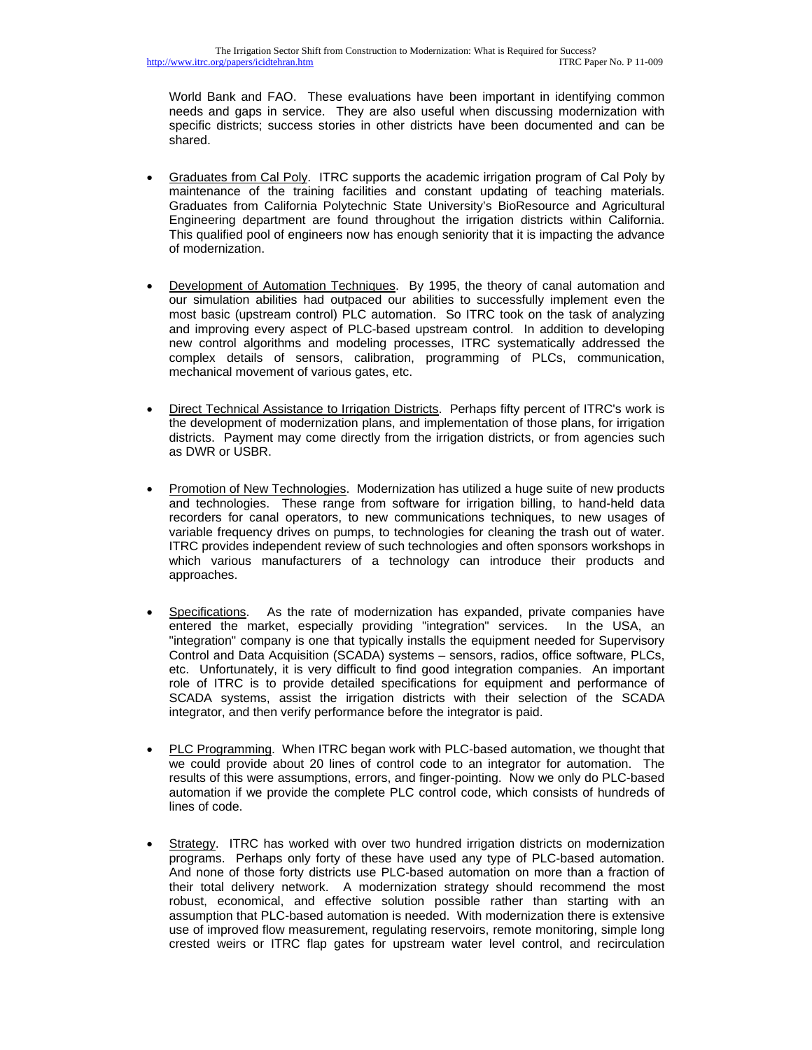World Bank and FAO. These evaluations have been important in identifying common needs and gaps in service. They are also useful when discussing modernization with specific districts; success stories in other districts have been documented and can be shared.

- Graduates from Cal Poly. ITRC supports the academic irrigation program of Cal Poly by maintenance of the training facilities and constant updating of teaching materials. Graduates from California Polytechnic State University's BioResource and Agricultural Engineering department are found throughout the irrigation districts within California. This qualified pool of engineers now has enough seniority that it is impacting the advance of modernization.
- Development of Automation Techniques. By 1995, the theory of canal automation and our simulation abilities had outpaced our abilities to successfully implement even the most basic (upstream control) PLC automation. So ITRC took on the task of analyzing and improving every aspect of PLC-based upstream control. In addition to developing new control algorithms and modeling processes, ITRC systematically addressed the complex details of sensors, calibration, programming of PLCs, communication, mechanical movement of various gates, etc.
- Direct Technical Assistance to Irrigation Districts. Perhaps fifty percent of ITRC's work is the development of modernization plans, and implementation of those plans, for irrigation districts. Payment may come directly from the irrigation districts, or from agencies such as DWR or USBR.
- Promotion of New Technologies. Modernization has utilized a huge suite of new products and technologies. These range from software for irrigation billing, to hand-held data recorders for canal operators, to new communications techniques, to new usages of variable frequency drives on pumps, to technologies for cleaning the trash out of water. ITRC provides independent review of such technologies and often sponsors workshops in which various manufacturers of a technology can introduce their products and approaches.
- Specifications. As the rate of modernization has expanded, private companies have entered the market, especially providing "integration" services. In the USA, an "integration" company is one that typically installs the equipment needed for Supervisory Control and Data Acquisition (SCADA) systems – sensors, radios, office software, PLCs, etc. Unfortunately, it is very difficult to find good integration companies. An important role of ITRC is to provide detailed specifications for equipment and performance of SCADA systems, assist the irrigation districts with their selection of the SCADA integrator, and then verify performance before the integrator is paid.
- PLC Programming. When ITRC began work with PLC-based automation, we thought that we could provide about 20 lines of control code to an integrator for automation. The results of this were assumptions, errors, and finger-pointing. Now we only do PLC-based automation if we provide the complete PLC control code, which consists of hundreds of lines of code.
- Strategy. ITRC has worked with over two hundred irrigation districts on modernization programs. Perhaps only forty of these have used any type of PLC-based automation. And none of those forty districts use PLC-based automation on more than a fraction of their total delivery network. A modernization strategy should recommend the most robust, economical, and effective solution possible rather than starting with an assumption that PLC-based automation is needed. With modernization there is extensive use of improved flow measurement, regulating reservoirs, remote monitoring, simple long crested weirs or ITRC flap gates for upstream water level control, and recirculation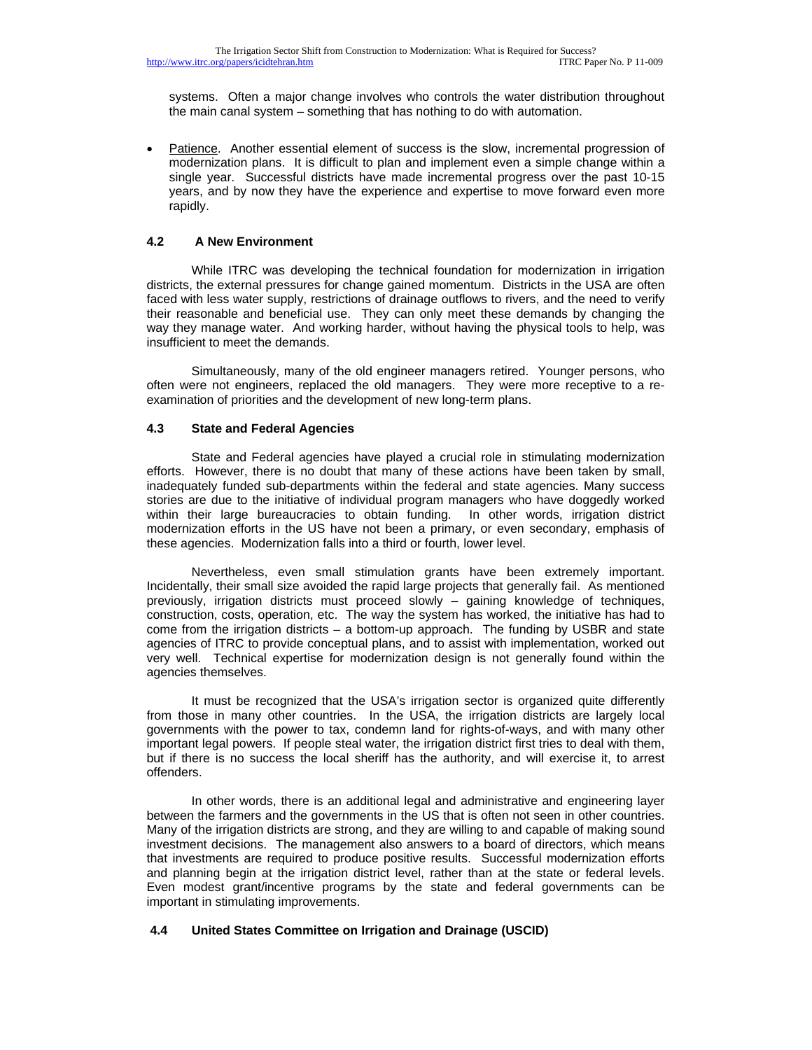systems. Often a major change involves who controls the water distribution throughout the main canal system – something that has nothing to do with automation.

• Patience. Another essential element of success is the slow, incremental progression of modernization plans. It is difficult to plan and implement even a simple change within a single year. Successful districts have made incremental progress over the past 10-15 years, and by now they have the experience and expertise to move forward even more rapidly.

#### **4.2 A New Environment**

While ITRC was developing the technical foundation for modernization in irrigation districts, the external pressures for change gained momentum. Districts in the USA are often faced with less water supply, restrictions of drainage outflows to rivers, and the need to verify their reasonable and beneficial use. They can only meet these demands by changing the way they manage water. And working harder, without having the physical tools to help, was insufficient to meet the demands.

Simultaneously, many of the old engineer managers retired. Younger persons, who often were not engineers, replaced the old managers. They were more receptive to a reexamination of priorities and the development of new long-term plans.

## **4.3 State and Federal Agencies**

State and Federal agencies have played a crucial role in stimulating modernization efforts. However, there is no doubt that many of these actions have been taken by small, inadequately funded sub-departments within the federal and state agencies. Many success stories are due to the initiative of individual program managers who have doggedly worked within their large bureaucracies to obtain funding. In other words, irrigation district modernization efforts in the US have not been a primary, or even secondary, emphasis of these agencies. Modernization falls into a third or fourth, lower level.

Nevertheless, even small stimulation grants have been extremely important. Incidentally, their small size avoided the rapid large projects that generally fail. As mentioned previously, irrigation districts must proceed slowly – gaining knowledge of techniques, construction, costs, operation, etc. The way the system has worked, the initiative has had to come from the irrigation districts – a bottom-up approach. The funding by USBR and state agencies of ITRC to provide conceptual plans, and to assist with implementation, worked out very well. Technical expertise for modernization design is not generally found within the agencies themselves.

It must be recognized that the USA's irrigation sector is organized quite differently from those in many other countries. In the USA, the irrigation districts are largely local governments with the power to tax, condemn land for rights-of-ways, and with many other important legal powers. If people steal water, the irrigation district first tries to deal with them, but if there is no success the local sheriff has the authority, and will exercise it, to arrest offenders.

In other words, there is an additional legal and administrative and engineering layer between the farmers and the governments in the US that is often not seen in other countries. Many of the irrigation districts are strong, and they are willing to and capable of making sound investment decisions. The management also answers to a board of directors, which means that investments are required to produce positive results. Successful modernization efforts and planning begin at the irrigation district level, rather than at the state or federal levels. Even modest grant/incentive programs by the state and federal governments can be important in stimulating improvements.

# **4.4 United States Committee on Irrigation and Drainage (USCID)**